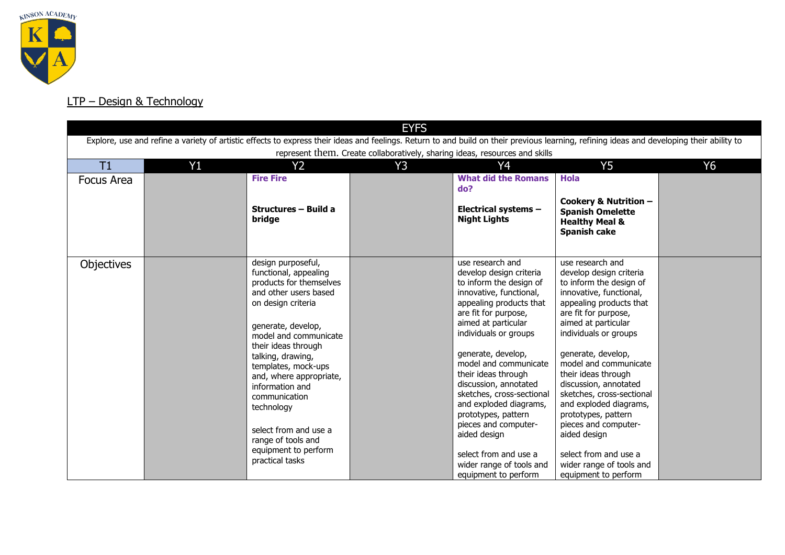

## LTP – Design & Technology

| <b>EYFS</b>                                                                                                                                                                                                                                                              |    |                                                                                                                                                                                                                                                                                                                                                                                                                |    |                                                                                                                                                                                                                                                                                                                                                                                                                                                                                                        |                                                                                                                                                                                                                                                                                                                                                                                                                                                                                                        |           |  |  |  |
|--------------------------------------------------------------------------------------------------------------------------------------------------------------------------------------------------------------------------------------------------------------------------|----|----------------------------------------------------------------------------------------------------------------------------------------------------------------------------------------------------------------------------------------------------------------------------------------------------------------------------------------------------------------------------------------------------------------|----|--------------------------------------------------------------------------------------------------------------------------------------------------------------------------------------------------------------------------------------------------------------------------------------------------------------------------------------------------------------------------------------------------------------------------------------------------------------------------------------------------------|--------------------------------------------------------------------------------------------------------------------------------------------------------------------------------------------------------------------------------------------------------------------------------------------------------------------------------------------------------------------------------------------------------------------------------------------------------------------------------------------------------|-----------|--|--|--|
| Explore, use and refine a variety of artistic effects to express their ideas and feelings. Return to and build on their previous learning, refining ideas and developing their ability to<br>represent them. Create collaboratively, sharing ideas, resources and skills |    |                                                                                                                                                                                                                                                                                                                                                                                                                |    |                                                                                                                                                                                                                                                                                                                                                                                                                                                                                                        |                                                                                                                                                                                                                                                                                                                                                                                                                                                                                                        |           |  |  |  |
| T1                                                                                                                                                                                                                                                                       | Y1 | <b>Y2</b>                                                                                                                                                                                                                                                                                                                                                                                                      | Y3 | Y4                                                                                                                                                                                                                                                                                                                                                                                                                                                                                                     | Y <sub>5</sub>                                                                                                                                                                                                                                                                                                                                                                                                                                                                                         | <b>Y6</b> |  |  |  |
| Focus Area                                                                                                                                                                                                                                                               |    | <b>Fire Fire</b><br>Structures - Build a<br>bridge                                                                                                                                                                                                                                                                                                                                                             |    | <b>What did the Romans</b><br>do?<br>Electrical systems -<br><b>Night Lights</b>                                                                                                                                                                                                                                                                                                                                                                                                                       | <b>Hola</b><br>Cookery & Nutrition -<br><b>Spanish Omelette</b><br><b>Healthy Meal &amp;</b><br><b>Spanish cake</b>                                                                                                                                                                                                                                                                                                                                                                                    |           |  |  |  |
| <b>Objectives</b>                                                                                                                                                                                                                                                        |    | design purposeful,<br>functional, appealing<br>products for themselves<br>and other users based<br>on design criteria<br>generate, develop,<br>model and communicate<br>their ideas through<br>talking, drawing,<br>templates, mock-ups<br>and, where appropriate,<br>information and<br>communication<br>technology<br>select from and use a<br>range of tools and<br>equipment to perform<br>practical tasks |    | use research and<br>develop design criteria<br>to inform the design of<br>innovative, functional,<br>appealing products that<br>are fit for purpose,<br>aimed at particular<br>individuals or groups<br>generate, develop,<br>model and communicate<br>their ideas through<br>discussion, annotated<br>sketches, cross-sectional<br>and exploded diagrams,<br>prototypes, pattern<br>pieces and computer-<br>aided design<br>select from and use a<br>wider range of tools and<br>equipment to perform | use research and<br>develop design criteria<br>to inform the design of<br>innovative, functional,<br>appealing products that<br>are fit for purpose,<br>aimed at particular<br>individuals or groups<br>generate, develop,<br>model and communicate<br>their ideas through<br>discussion, annotated<br>sketches, cross-sectional<br>and exploded diagrams,<br>prototypes, pattern<br>pieces and computer-<br>aided design<br>select from and use a<br>wider range of tools and<br>equipment to perform |           |  |  |  |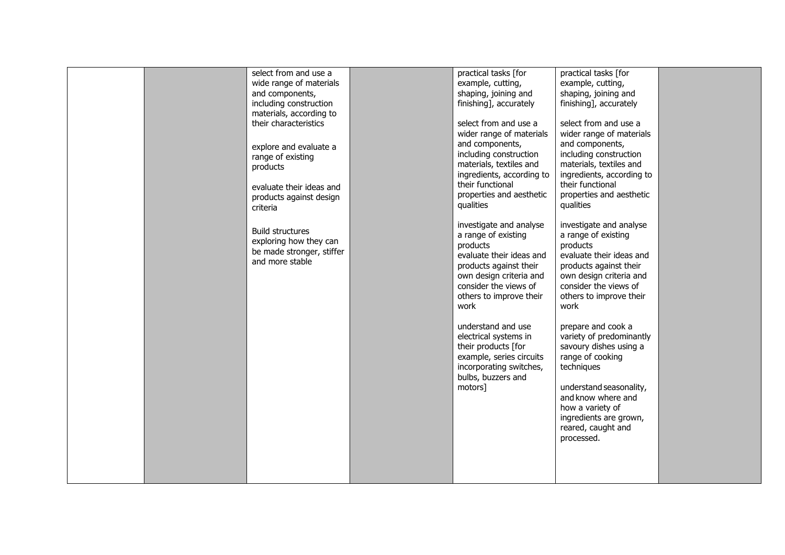|  | select from and use a<br>wide range of materials<br>and components,<br>including construction<br>materials, according to<br>their characteristics<br>explore and evaluate a<br>range of existing<br>products<br>evaluate their ideas and<br>products against design<br>criteria<br><b>Build structures</b><br>exploring how they can<br>be made stronger, stiffer<br>and more stable | practical tasks [for<br>example, cutting,<br>shaping, joining and<br>finishing], accurately<br>select from and use a<br>wider range of materials<br>and components,<br>including construction<br>materials, textiles and<br>ingredients, according to<br>their functional<br>properties and aesthetic<br>qualities<br>investigate and analyse<br>a range of existing<br>products<br>evaluate their ideas and<br>products against their<br>own design criteria and<br>consider the views of<br>others to improve their<br>work<br>understand and use<br>electrical systems in<br>their products [for<br>example, series circuits<br>incorporating switches,<br>bulbs, buzzers and<br>motors] | practical tasks [for<br>example, cutting,<br>shaping, joining and<br>finishing], accurately<br>select from and use a<br>wider range of materials<br>and components,<br>including construction<br>materials, textiles and<br>ingredients, according to<br>their functional<br>properties and aesthetic<br>qualities<br>investigate and analyse<br>a range of existing<br>products<br>evaluate their ideas and<br>products against their<br>own design criteria and<br>consider the views of<br>others to improve their<br>work<br>prepare and cook a<br>variety of predominantly<br>savoury dishes using a<br>range of cooking<br>techniques<br>understand seasonality,<br>and know where and<br>how a variety of<br>ingredients are grown,<br>reared, caught and<br>processed. |  |
|--|--------------------------------------------------------------------------------------------------------------------------------------------------------------------------------------------------------------------------------------------------------------------------------------------------------------------------------------------------------------------------------------|---------------------------------------------------------------------------------------------------------------------------------------------------------------------------------------------------------------------------------------------------------------------------------------------------------------------------------------------------------------------------------------------------------------------------------------------------------------------------------------------------------------------------------------------------------------------------------------------------------------------------------------------------------------------------------------------|--------------------------------------------------------------------------------------------------------------------------------------------------------------------------------------------------------------------------------------------------------------------------------------------------------------------------------------------------------------------------------------------------------------------------------------------------------------------------------------------------------------------------------------------------------------------------------------------------------------------------------------------------------------------------------------------------------------------------------------------------------------------------------|--|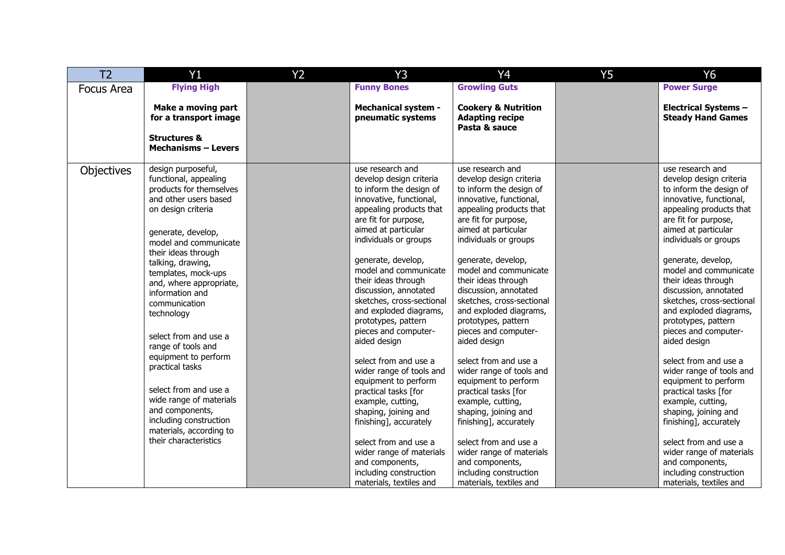| T <sub>2</sub>    | Y1                                                                                                                                                                                                                                                                                                                                                                                                                                                                                                                                                                  | Y <sub>2</sub> | <b>Y3</b>                                                                                                                                                                                                                                                                                                                                                                                                                                                                                                                                                                                                                                                                                                                          | Y <sub>4</sub>                                                                                                                                                                                                                                                                                                                                                                                                                                                                                                                                                                                                                                                                                                                     | <b>Y5</b> | Y6                                                                                                                                                                                                                                                                                                                                                                                                                                                                                                                                                                                                                                                                                                                                 |
|-------------------|---------------------------------------------------------------------------------------------------------------------------------------------------------------------------------------------------------------------------------------------------------------------------------------------------------------------------------------------------------------------------------------------------------------------------------------------------------------------------------------------------------------------------------------------------------------------|----------------|------------------------------------------------------------------------------------------------------------------------------------------------------------------------------------------------------------------------------------------------------------------------------------------------------------------------------------------------------------------------------------------------------------------------------------------------------------------------------------------------------------------------------------------------------------------------------------------------------------------------------------------------------------------------------------------------------------------------------------|------------------------------------------------------------------------------------------------------------------------------------------------------------------------------------------------------------------------------------------------------------------------------------------------------------------------------------------------------------------------------------------------------------------------------------------------------------------------------------------------------------------------------------------------------------------------------------------------------------------------------------------------------------------------------------------------------------------------------------|-----------|------------------------------------------------------------------------------------------------------------------------------------------------------------------------------------------------------------------------------------------------------------------------------------------------------------------------------------------------------------------------------------------------------------------------------------------------------------------------------------------------------------------------------------------------------------------------------------------------------------------------------------------------------------------------------------------------------------------------------------|
| <b>Focus Area</b> | <b>Flying High</b>                                                                                                                                                                                                                                                                                                                                                                                                                                                                                                                                                  |                | <b>Funny Bones</b>                                                                                                                                                                                                                                                                                                                                                                                                                                                                                                                                                                                                                                                                                                                 | <b>Growling Guts</b>                                                                                                                                                                                                                                                                                                                                                                                                                                                                                                                                                                                                                                                                                                               |           | <b>Power Surge</b>                                                                                                                                                                                                                                                                                                                                                                                                                                                                                                                                                                                                                                                                                                                 |
|                   | Make a moving part<br>for a transport image<br><b>Structures &amp;</b><br><b>Mechanisms - Levers</b>                                                                                                                                                                                                                                                                                                                                                                                                                                                                |                | <b>Mechanical system -</b><br>pneumatic systems                                                                                                                                                                                                                                                                                                                                                                                                                                                                                                                                                                                                                                                                                    | <b>Cookery &amp; Nutrition</b><br><b>Adapting recipe</b><br>Pasta & sauce                                                                                                                                                                                                                                                                                                                                                                                                                                                                                                                                                                                                                                                          |           | <b>Electrical Systems -</b><br><b>Steady Hand Games</b>                                                                                                                                                                                                                                                                                                                                                                                                                                                                                                                                                                                                                                                                            |
| Objectives        | design purposeful,<br>functional, appealing<br>products for themselves<br>and other users based<br>on design criteria<br>generate, develop,<br>model and communicate<br>their ideas through<br>talking, drawing,<br>templates, mock-ups<br>and, where appropriate,<br>information and<br>communication<br>technology<br>select from and use a<br>range of tools and<br>equipment to perform<br>practical tasks<br>select from and use a<br>wide range of materials<br>and components,<br>including construction<br>materials, according to<br>their characteristics |                | use research and<br>develop design criteria<br>to inform the design of<br>innovative, functional,<br>appealing products that<br>are fit for purpose,<br>aimed at particular<br>individuals or groups<br>generate, develop,<br>model and communicate<br>their ideas through<br>discussion, annotated<br>sketches, cross-sectional<br>and exploded diagrams,<br>prototypes, pattern<br>pieces and computer-<br>aided design<br>select from and use a<br>wider range of tools and<br>equipment to perform<br>practical tasks [for<br>example, cutting,<br>shaping, joining and<br>finishing], accurately<br>select from and use a<br>wider range of materials<br>and components,<br>including construction<br>materials, textiles and | use research and<br>develop design criteria<br>to inform the design of<br>innovative, functional,<br>appealing products that<br>are fit for purpose,<br>aimed at particular<br>individuals or groups<br>generate, develop,<br>model and communicate<br>their ideas through<br>discussion, annotated<br>sketches, cross-sectional<br>and exploded diagrams,<br>prototypes, pattern<br>pieces and computer-<br>aided design<br>select from and use a<br>wider range of tools and<br>equipment to perform<br>practical tasks [for<br>example, cutting,<br>shaping, joining and<br>finishing], accurately<br>select from and use a<br>wider range of materials<br>and components,<br>including construction<br>materials, textiles and |           | use research and<br>develop design criteria<br>to inform the design of<br>innovative, functional,<br>appealing products that<br>are fit for purpose,<br>aimed at particular<br>individuals or groups<br>generate, develop,<br>model and communicate<br>their ideas through<br>discussion, annotated<br>sketches, cross-sectional<br>and exploded diagrams,<br>prototypes, pattern<br>pieces and computer-<br>aided design<br>select from and use a<br>wider range of tools and<br>equipment to perform<br>practical tasks [for<br>example, cutting,<br>shaping, joining and<br>finishing], accurately<br>select from and use a<br>wider range of materials<br>and components,<br>including construction<br>materials, textiles and |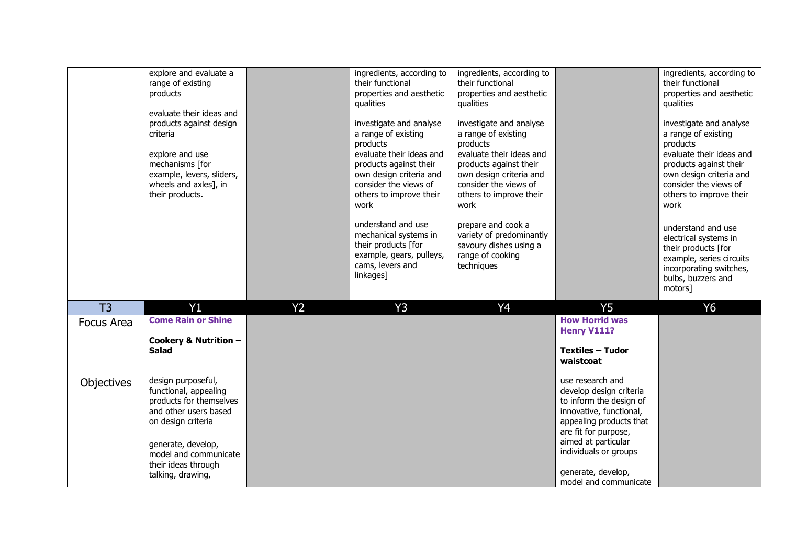|                   | explore and evaluate a<br>range of existing<br>products<br>evaluate their ideas and<br>products against design<br>criteria<br>explore and use<br>mechanisms [for<br>example, levers, sliders,<br>wheels and axles], in<br>their products. |                | ingredients, according to<br>their functional<br>properties and aesthetic<br>qualities<br>investigate and analyse<br>a range of existing<br>products<br>evaluate their ideas and<br>products against their<br>own design criteria and<br>consider the views of<br>others to improve their<br>work<br>understand and use<br>mechanical systems in<br>their products [for<br>example, gears, pulleys,<br>cams, levers and<br>linkages] | ingredients, according to<br>their functional<br>properties and aesthetic<br>qualities<br>investigate and analyse<br>a range of existing<br>products<br>evaluate their ideas and<br>products against their<br>own design criteria and<br>consider the views of<br>others to improve their<br>work<br>prepare and cook a<br>variety of predominantly<br>savoury dishes using a<br>range of cooking<br>techniques |                                                                                                                                                                                                      | ingredients, according to<br>their functional<br>properties and aesthetic<br>qualities<br>investigate and analyse<br>a range of existing<br>products<br>evaluate their ideas and<br>products against their<br>own design criteria and<br>consider the views of<br>others to improve their<br>work<br>understand and use<br>electrical systems in<br>their products [for<br>example, series circuits<br>incorporating switches,<br>bulbs, buzzers and<br>motors] |
|-------------------|-------------------------------------------------------------------------------------------------------------------------------------------------------------------------------------------------------------------------------------------|----------------|--------------------------------------------------------------------------------------------------------------------------------------------------------------------------------------------------------------------------------------------------------------------------------------------------------------------------------------------------------------------------------------------------------------------------------------|-----------------------------------------------------------------------------------------------------------------------------------------------------------------------------------------------------------------------------------------------------------------------------------------------------------------------------------------------------------------------------------------------------------------|------------------------------------------------------------------------------------------------------------------------------------------------------------------------------------------------------|-----------------------------------------------------------------------------------------------------------------------------------------------------------------------------------------------------------------------------------------------------------------------------------------------------------------------------------------------------------------------------------------------------------------------------------------------------------------|
| T <sub>3</sub>    | Y1                                                                                                                                                                                                                                        | Y <sub>2</sub> | <b>Y3</b>                                                                                                                                                                                                                                                                                                                                                                                                                            | Y <sub>4</sub>                                                                                                                                                                                                                                                                                                                                                                                                  | <b>Y5</b>                                                                                                                                                                                            | <b>Y6</b>                                                                                                                                                                                                                                                                                                                                                                                                                                                       |
| Focus Area        | <b>Come Rain or Shine</b>                                                                                                                                                                                                                 |                |                                                                                                                                                                                                                                                                                                                                                                                                                                      |                                                                                                                                                                                                                                                                                                                                                                                                                 | <b>How Horrid was</b><br>Henry V111?                                                                                                                                                                 |                                                                                                                                                                                                                                                                                                                                                                                                                                                                 |
|                   | Cookery & Nutrition -<br><b>Salad</b>                                                                                                                                                                                                     |                |                                                                                                                                                                                                                                                                                                                                                                                                                                      |                                                                                                                                                                                                                                                                                                                                                                                                                 | <b>Textiles - Tudor</b>                                                                                                                                                                              |                                                                                                                                                                                                                                                                                                                                                                                                                                                                 |
|                   |                                                                                                                                                                                                                                           |                |                                                                                                                                                                                                                                                                                                                                                                                                                                      |                                                                                                                                                                                                                                                                                                                                                                                                                 | waistcoat                                                                                                                                                                                            |                                                                                                                                                                                                                                                                                                                                                                                                                                                                 |
| <b>Objectives</b> | design purposeful,<br>functional, appealing<br>products for themselves<br>and other users based<br>on design criteria<br>generate, develop,<br>model and communicate                                                                      |                |                                                                                                                                                                                                                                                                                                                                                                                                                                      |                                                                                                                                                                                                                                                                                                                                                                                                                 | use research and<br>develop design criteria<br>to inform the design of<br>innovative, functional,<br>appealing products that<br>are fit for purpose,<br>aimed at particular<br>individuals or groups |                                                                                                                                                                                                                                                                                                                                                                                                                                                                 |
|                   | their ideas through<br>talking, drawing,                                                                                                                                                                                                  |                |                                                                                                                                                                                                                                                                                                                                                                                                                                      |                                                                                                                                                                                                                                                                                                                                                                                                                 | generate, develop,<br>model and communicate                                                                                                                                                          |                                                                                                                                                                                                                                                                                                                                                                                                                                                                 |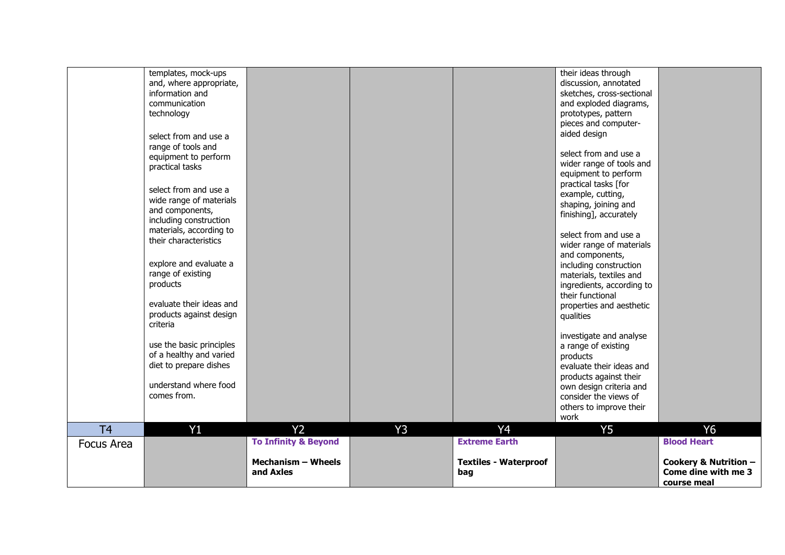|                | templates, mock-ups<br>and, where appropriate,<br>information and<br>communication<br>technology<br>select from and use a<br>range of tools and<br>equipment to perform<br>practical tasks<br>select from and use a<br>wide range of materials<br>and components,<br>including construction<br>materials, according to<br>their characteristics<br>explore and evaluate a<br>range of existing<br>products<br>evaluate their ideas and<br>products against design<br>criteria<br>use the basic principles<br>of a healthy and varied<br>diet to prepare dishes<br>understand where food<br>comes from. |                                        |    |                                     | their ideas through<br>discussion, annotated<br>sketches, cross-sectional<br>and exploded diagrams,<br>prototypes, pattern<br>pieces and computer-<br>aided design<br>select from and use a<br>wider range of tools and<br>equipment to perform<br>practical tasks [for<br>example, cutting,<br>shaping, joining and<br>finishing], accurately<br>select from and use a<br>wider range of materials<br>and components,<br>including construction<br>materials, textiles and<br>ingredients, according to<br>their functional<br>properties and aesthetic<br>qualities<br>investigate and analyse<br>a range of existing<br>products<br>evaluate their ideas and<br>products against their<br>own design criteria and<br>consider the views of<br>others to improve their |                                                             |
|----------------|--------------------------------------------------------------------------------------------------------------------------------------------------------------------------------------------------------------------------------------------------------------------------------------------------------------------------------------------------------------------------------------------------------------------------------------------------------------------------------------------------------------------------------------------------------------------------------------------------------|----------------------------------------|----|-------------------------------------|--------------------------------------------------------------------------------------------------------------------------------------------------------------------------------------------------------------------------------------------------------------------------------------------------------------------------------------------------------------------------------------------------------------------------------------------------------------------------------------------------------------------------------------------------------------------------------------------------------------------------------------------------------------------------------------------------------------------------------------------------------------------------|-------------------------------------------------------------|
| T <sub>4</sub> | Y1                                                                                                                                                                                                                                                                                                                                                                                                                                                                                                                                                                                                     | Y <sub>2</sub>                         | Y3 | Y <sub>4</sub>                      | work<br><b>Y5</b>                                                                                                                                                                                                                                                                                                                                                                                                                                                                                                                                                                                                                                                                                                                                                        | <b>Y6</b>                                                   |
| Focus Area     |                                                                                                                                                                                                                                                                                                                                                                                                                                                                                                                                                                                                        | <b>To Infinity &amp; Beyond</b>        |    | <b>Extreme Earth</b>                |                                                                                                                                                                                                                                                                                                                                                                                                                                                                                                                                                                                                                                                                                                                                                                          | <b>Blood Heart</b>                                          |
|                |                                                                                                                                                                                                                                                                                                                                                                                                                                                                                                                                                                                                        | <b>Mechanism - Wheels</b><br>and Axles |    | <b>Textiles - Waterproof</b><br>bag |                                                                                                                                                                                                                                                                                                                                                                                                                                                                                                                                                                                                                                                                                                                                                                          | Cookery & Nutrition -<br>Come dine with me 3<br>course meal |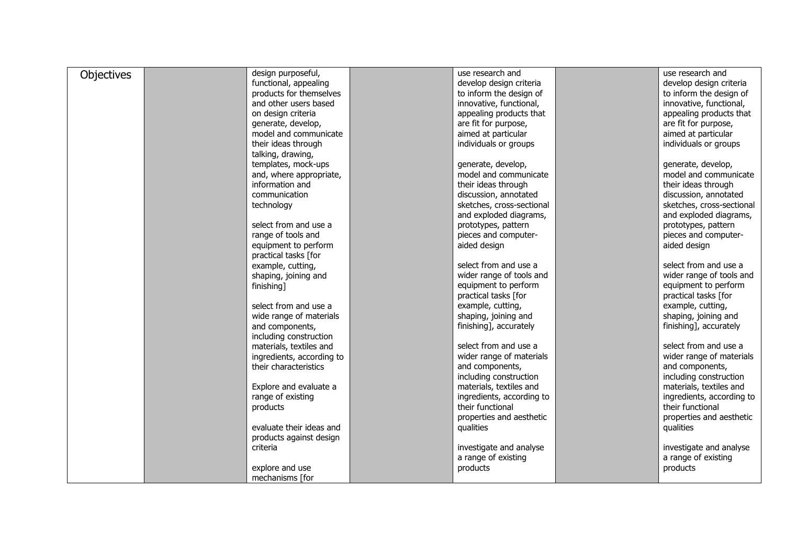| Objectives | design purposeful,        | use research and          | use research and          |
|------------|---------------------------|---------------------------|---------------------------|
|            | functional, appealing     | develop design criteria   | develop design criteria   |
|            | products for themselves   | to inform the design of   | to inform the design of   |
|            | and other users based     | innovative, functional,   | innovative, functional,   |
|            | on design criteria        | appealing products that   | appealing products that   |
|            | generate, develop,        | are fit for purpose,      | are fit for purpose,      |
|            | model and communicate     | aimed at particular       | aimed at particular       |
|            | their ideas through       | individuals or groups     | individuals or groups     |
|            | talking, drawing,         |                           |                           |
|            | templates, mock-ups       | generate, develop,        | generate, develop,        |
|            | and, where appropriate,   | model and communicate     | model and communicate     |
|            | information and           | their ideas through       | their ideas through       |
|            | communication             | discussion, annotated     | discussion, annotated     |
|            |                           | sketches, cross-sectional | sketches, cross-sectional |
|            | technology                | and exploded diagrams,    |                           |
|            |                           |                           | and exploded diagrams,    |
|            | select from and use a     | prototypes, pattern       | prototypes, pattern       |
|            | range of tools and        | pieces and computer-      | pieces and computer-      |
|            | equipment to perform      | aided design              | aided design              |
|            | practical tasks [for      |                           |                           |
|            | example, cutting,         | select from and use a     | select from and use a     |
|            | shaping, joining and      | wider range of tools and  | wider range of tools and  |
|            | finishing]                | equipment to perform      | equipment to perform      |
|            |                           | practical tasks [for      | practical tasks [for      |
|            | select from and use a     | example, cutting,         | example, cutting,         |
|            | wide range of materials   | shaping, joining and      | shaping, joining and      |
|            | and components,           | finishing], accurately    | finishing], accurately    |
|            | including construction    |                           |                           |
|            | materials, textiles and   | select from and use a     | select from and use a     |
|            | ingredients, according to | wider range of materials  | wider range of materials  |
|            | their characteristics     | and components,           | and components,           |
|            |                           | including construction    | including construction    |
|            | Explore and evaluate a    | materials, textiles and   | materials, textiles and   |
|            | range of existing         | ingredients, according to | ingredients, according to |
|            | products                  | their functional          | their functional          |
|            |                           | properties and aesthetic  | properties and aesthetic  |
|            | evaluate their ideas and  | qualities                 | qualities                 |
|            |                           |                           |                           |
|            | products against design   |                           |                           |
|            | criteria                  | investigate and analyse   | investigate and analyse   |
|            |                           | a range of existing       | a range of existing       |
|            | explore and use           | products                  | products                  |
|            | mechanisms [for           |                           |                           |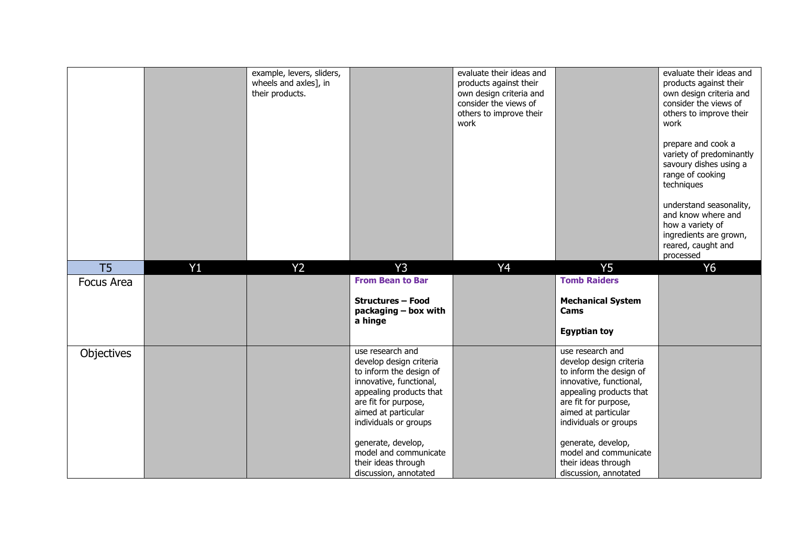|                   |    | example, levers, sliders,<br>wheels and axles], in<br>their products. |                                                                                                                                                                                                                                                                            | evaluate their ideas and<br>products against their<br>own design criteria and<br>consider the views of<br>others to improve their<br>work |                                                                                                                                                                                                                                                                            | evaluate their ideas and<br>products against their<br>own design criteria and<br>consider the views of<br>others to improve their<br>work<br>prepare and cook a<br>variety of predominantly<br>savoury dishes using a<br>range of cooking<br>techniques<br>understand seasonality,<br>and know where and<br>how a variety of<br>ingredients are grown,<br>reared, caught and<br>processed |
|-------------------|----|-----------------------------------------------------------------------|----------------------------------------------------------------------------------------------------------------------------------------------------------------------------------------------------------------------------------------------------------------------------|-------------------------------------------------------------------------------------------------------------------------------------------|----------------------------------------------------------------------------------------------------------------------------------------------------------------------------------------------------------------------------------------------------------------------------|-------------------------------------------------------------------------------------------------------------------------------------------------------------------------------------------------------------------------------------------------------------------------------------------------------------------------------------------------------------------------------------------|
| T <sub>5</sub>    | Y1 | Y <sub>2</sub>                                                        | Y3                                                                                                                                                                                                                                                                         | Y <sub>4</sub>                                                                                                                            | Y <sub>5</sub>                                                                                                                                                                                                                                                             | <b>Y6</b>                                                                                                                                                                                                                                                                                                                                                                                 |
| <b>Focus Area</b> |    |                                                                       | <b>From Bean to Bar</b><br><b>Structures - Food</b><br>packaging - box with<br>a hinge                                                                                                                                                                                     |                                                                                                                                           | <b>Tomb Raiders</b><br><b>Mechanical System</b><br>Cams<br><b>Egyptian toy</b>                                                                                                                                                                                             |                                                                                                                                                                                                                                                                                                                                                                                           |
| Objectives        |    |                                                                       | use research and<br>develop design criteria<br>to inform the design of<br>innovative, functional,<br>appealing products that<br>are fit for purpose,<br>aimed at particular<br>individuals or groups<br>generate, develop,<br>model and communicate<br>their ideas through |                                                                                                                                           | use research and<br>develop design criteria<br>to inform the design of<br>innovative, functional,<br>appealing products that<br>are fit for purpose,<br>aimed at particular<br>individuals or groups<br>generate, develop,<br>model and communicate<br>their ideas through |                                                                                                                                                                                                                                                                                                                                                                                           |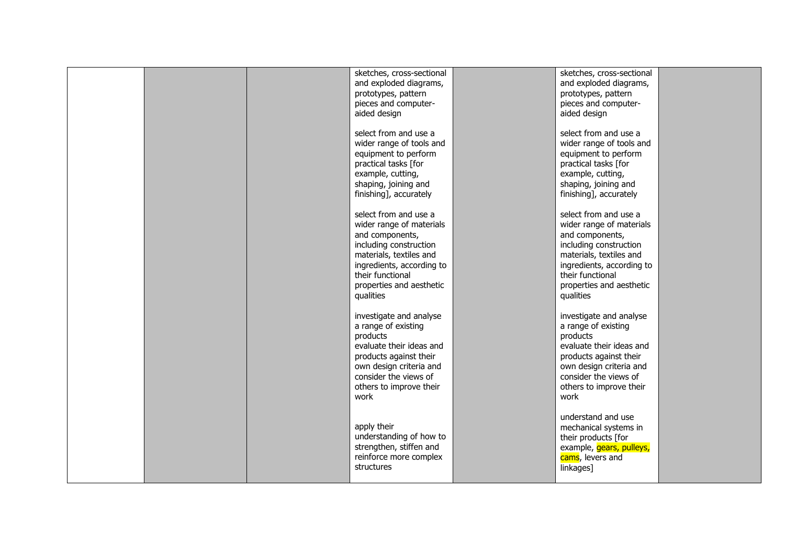|  | sketches, cross-sectional<br>and exploded diagrams,<br>prototypes, pattern<br>pieces and computer-<br>aided design                                                                                                  | sketches, cross-sectional<br>and exploded diagrams,<br>prototypes, pattern<br>pieces and computer-<br>aided design                                                                                                  |  |
|--|---------------------------------------------------------------------------------------------------------------------------------------------------------------------------------------------------------------------|---------------------------------------------------------------------------------------------------------------------------------------------------------------------------------------------------------------------|--|
|  | select from and use a<br>wider range of tools and<br>equipment to perform<br>practical tasks [for<br>example, cutting,<br>shaping, joining and<br>finishing], accurately                                            | select from and use a<br>wider range of tools and<br>equipment to perform<br>practical tasks [for<br>example, cutting,<br>shaping, joining and<br>finishing], accurately                                            |  |
|  | select from and use a<br>wider range of materials<br>and components,<br>including construction<br>materials, textiles and<br>ingredients, according to<br>their functional<br>properties and aesthetic<br>qualities | select from and use a<br>wider range of materials<br>and components,<br>including construction<br>materials, textiles and<br>ingredients, according to<br>their functional<br>properties and aesthetic<br>qualities |  |
|  | investigate and analyse<br>a range of existing<br>products<br>evaluate their ideas and<br>products against their<br>own design criteria and<br>consider the views of<br>others to improve their<br>work             | investigate and analyse<br>a range of existing<br>products<br>evaluate their ideas and<br>products against their<br>own design criteria and<br>consider the views of<br>others to improve their<br>work             |  |
|  | apply their<br>understanding of how to<br>strengthen, stiffen and<br>reinforce more complex<br>structures                                                                                                           | understand and use<br>mechanical systems in<br>their products [for<br>example, gears, pulleys,<br>cams, levers and<br>linkages]                                                                                     |  |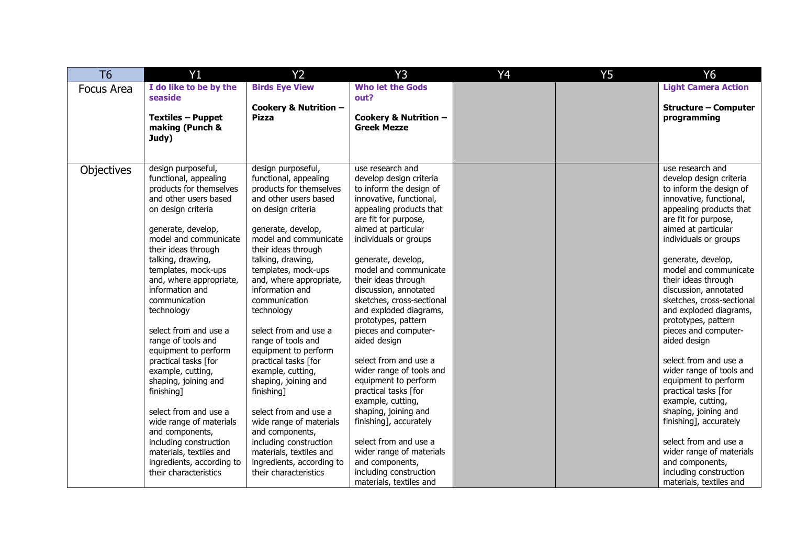| T <sub>6</sub>    | Y1                        | Y <sub>2</sub>            | Y3                                                | Y4 | <b>Y5</b> | Y6                          |
|-------------------|---------------------------|---------------------------|---------------------------------------------------|----|-----------|-----------------------------|
| <b>Focus Area</b> | I do like to be by the    | <b>Birds Eye View</b>     | <b>Who let the Gods</b>                           |    |           | <b>Light Camera Action</b>  |
|                   | seaside                   |                           | out?                                              |    |           |                             |
|                   |                           | Cookery & Nutrition -     |                                                   |    |           | <b>Structure - Computer</b> |
|                   | <b>Textiles - Puppet</b>  | <b>Pizza</b>              | Cookery & Nutrition -<br><b>Greek Mezze</b>       |    |           | programming                 |
|                   | making (Punch &<br>Judy)  |                           |                                                   |    |           |                             |
|                   |                           |                           |                                                   |    |           |                             |
|                   |                           |                           |                                                   |    |           |                             |
| Objectives        | design purposeful,        | design purposeful,        | use research and                                  |    |           | use research and            |
|                   | functional, appealing     | functional, appealing     | develop design criteria                           |    |           | develop design criteria     |
|                   | products for themselves   | products for themselves   | to inform the design of                           |    |           | to inform the design of     |
|                   | and other users based     | and other users based     | innovative, functional,                           |    |           | innovative, functional,     |
|                   | on design criteria        | on design criteria        | appealing products that                           |    |           | appealing products that     |
|                   |                           |                           | are fit for purpose,                              |    |           | are fit for purpose,        |
|                   | generate, develop,        | generate, develop,        | aimed at particular                               |    |           | aimed at particular         |
|                   | model and communicate     | model and communicate     | individuals or groups                             |    |           | individuals or groups       |
|                   | their ideas through       | their ideas through       |                                                   |    |           |                             |
|                   | talking, drawing,         | talking, drawing,         | generate, develop,                                |    |           | generate, develop,          |
|                   | templates, mock-ups       | templates, mock-ups       | model and communicate                             |    |           | model and communicate       |
|                   | and, where appropriate,   | and, where appropriate,   | their ideas through                               |    |           | their ideas through         |
|                   | information and           | information and           | discussion, annotated                             |    |           | discussion, annotated       |
|                   | communication             | communication             | sketches, cross-sectional                         |    |           | sketches, cross-sectional   |
|                   | technology                | technology                | and exploded diagrams,                            |    |           | and exploded diagrams,      |
|                   |                           |                           | prototypes, pattern                               |    |           | prototypes, pattern         |
|                   | select from and use a     | select from and use a     | pieces and computer-                              |    |           | pieces and computer-        |
|                   | range of tools and        | range of tools and        | aided design                                      |    |           | aided design                |
|                   | equipment to perform      | equipment to perform      |                                                   |    |           | select from and use a       |
|                   | practical tasks [for      | practical tasks [for      | select from and use a<br>wider range of tools and |    |           | wider range of tools and    |
|                   | example, cutting,         | example, cutting,         | equipment to perform                              |    |           | equipment to perform        |
|                   | shaping, joining and      | shaping, joining and      | practical tasks [for                              |    |           | practical tasks [for        |
|                   | finishing]                | finishing]                | example, cutting,                                 |    |           | example, cutting,           |
|                   | select from and use a     | select from and use a     | shaping, joining and                              |    |           | shaping, joining and        |
|                   | wide range of materials   | wide range of materials   | finishing], accurately                            |    |           | finishing], accurately      |
|                   | and components,           | and components,           |                                                   |    |           |                             |
|                   | including construction    | including construction    | select from and use a                             |    |           | select from and use a       |
|                   | materials, textiles and   | materials, textiles and   | wider range of materials                          |    |           | wider range of materials    |
|                   | ingredients, according to | ingredients, according to | and components,                                   |    |           | and components,             |
|                   | their characteristics     | their characteristics     | including construction                            |    |           | including construction      |
|                   |                           |                           | materials, textiles and                           |    |           | materials, textiles and     |